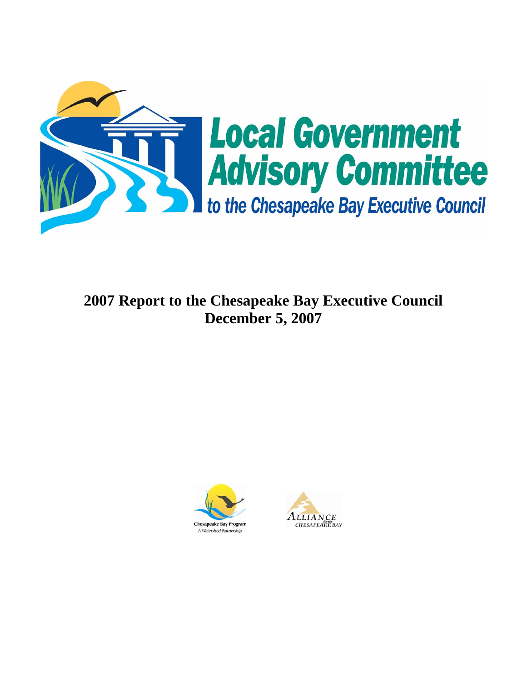

**2007 Report to the Chesapeake Bay Executive Council December 5, 2007** 



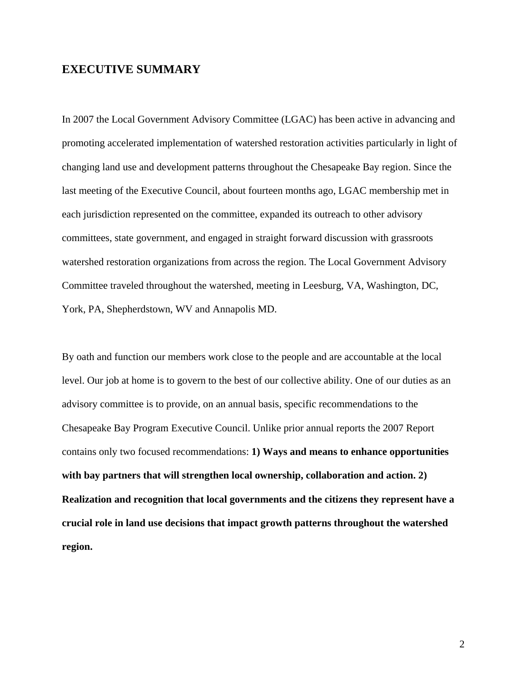## **EXECUTIVE SUMMARY**

In 2007 the Local Government Advisory Committee (LGAC) has been active in advancing and promoting accelerated implementation of watershed restoration activities particularly in light of changing land use and development patterns throughout the Chesapeake Bay region. Since the last meeting of the Executive Council, about fourteen months ago, LGAC membership met in each jurisdiction represented on the committee, expanded its outreach to other advisory committees, state government, and engaged in straight forward discussion with grassroots watershed restoration organizations from across the region. The Local Government Advisory Committee traveled throughout the watershed, meeting in Leesburg, VA, Washington, DC, York, PA, Shepherdstown, WV and Annapolis MD.

By oath and function our members work close to the people and are accountable at the local level. Our job at home is to govern to the best of our collective ability. One of our duties as an advisory committee is to provide, on an annual basis, specific recommendations to the Chesapeake Bay Program Executive Council. Unlike prior annual reports the 2007 Report contains only two focused recommendations: **1) Ways and means to enhance opportunities**  with bay partners that will strengthen local ownership, collaboration and action. 2) **Realization and recognition that local governments and the citizens they represent have a crucial role in land use decisions that impact growth patterns throughout the watershed region.**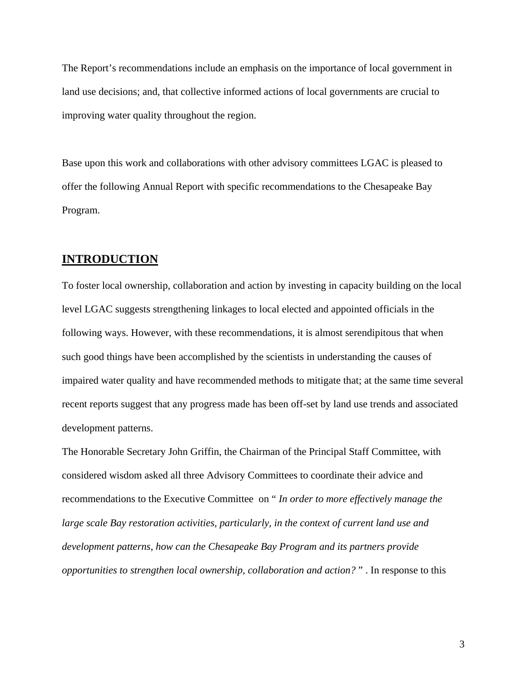The Report's recommendations include an emphasis on the importance of local government in land use decisions; and, that collective informed actions of local governments are crucial to improving water quality throughout the region.

Base upon this work and collaborations with other advisory committees LGAC is pleased to offer the following Annual Report with specific recommendations to the Chesapeake Bay Program.

## **INTRODUCTION**

To foster local ownership, collaboration and action by investing in capacity building on the local level LGAC suggests strengthening linkages to local elected and appointed officials in the following ways. However, with these recommendations, it is almost serendipitous that when such good things have been accomplished by the scientists in understanding the causes of impaired water quality and have recommended methods to mitigate that; at the same time several recent reports suggest that any progress made has been off-set by land use trends and associated development patterns.

The Honorable Secretary John Griffin, the Chairman of the Principal Staff Committee, with considered wisdom asked all three Advisory Committees to coordinate their advice and recommendations to the Executive Committee on " *In order to more effectively manage the large scale Bay restoration activities, particularly, in the context of current land use and development patterns, how can the Chesapeake Bay Program and its partners provide opportunities to strengthen local ownership, collaboration and action?* " . In response to this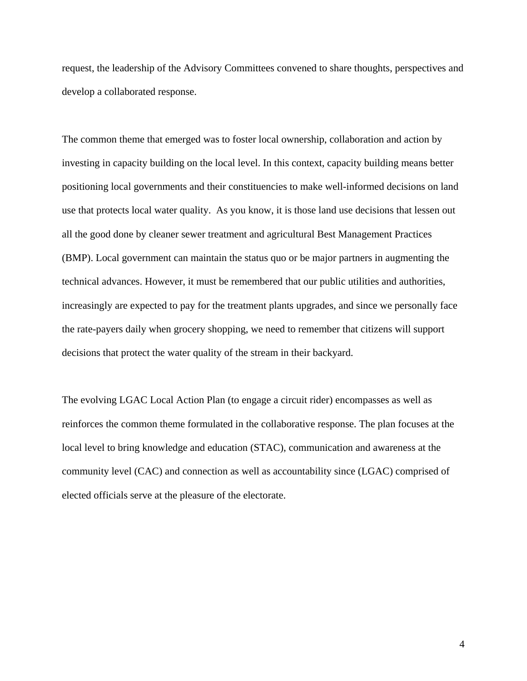request, the leadership of the Advisory Committees convened to share thoughts, perspectives and develop a collaborated response.

The common theme that emerged was to foster local ownership, collaboration and action by investing in capacity building on the local level. In this context, capacity building means better positioning local governments and their constituencies to make well-informed decisions on land use that protects local water quality. As you know, it is those land use decisions that lessen out all the good done by cleaner sewer treatment and agricultural Best Management Practices (BMP). Local government can maintain the status quo or be major partners in augmenting the technical advances. However, it must be remembered that our public utilities and authorities, increasingly are expected to pay for the treatment plants upgrades, and since we personally face the rate-payers daily when grocery shopping, we need to remember that citizens will support decisions that protect the water quality of the stream in their backyard.

The evolving LGAC Local Action Plan (to engage a circuit rider) encompasses as well as reinforces the common theme formulated in the collaborative response. The plan focuses at the local level to bring knowledge and education (STAC), communication and awareness at the community level (CAC) and connection as well as accountability since (LGAC) comprised of elected officials serve at the pleasure of the electorate.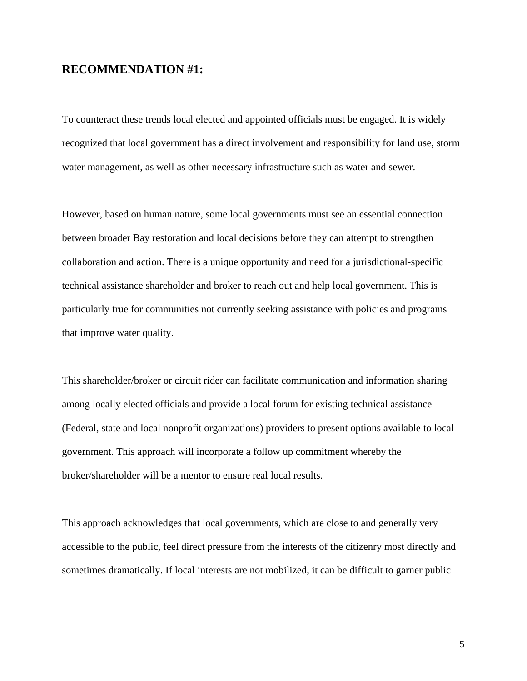## **RECOMMENDATION #1:**

To counteract these trends local elected and appointed officials must be engaged. It is widely recognized that local government has a direct involvement and responsibility for land use, storm water management, as well as other necessary infrastructure such as water and sewer.

However, based on human nature, some local governments must see an essential connection between broader Bay restoration and local decisions before they can attempt to strengthen collaboration and action. There is a unique opportunity and need for a jurisdictional-specific technical assistance shareholder and broker to reach out and help local government. This is particularly true for communities not currently seeking assistance with policies and programs that improve water quality.

This shareholder/broker or circuit rider can facilitate communication and information sharing among locally elected officials and provide a local forum for existing technical assistance (Federal, state and local nonprofit organizations) providers to present options available to local government. This approach will incorporate a follow up commitment whereby the broker/shareholder will be a mentor to ensure real local results.

This approach acknowledges that local governments, which are close to and generally very accessible to the public, feel direct pressure from the interests of the citizenry most directly and sometimes dramatically. If local interests are not mobilized, it can be difficult to garner public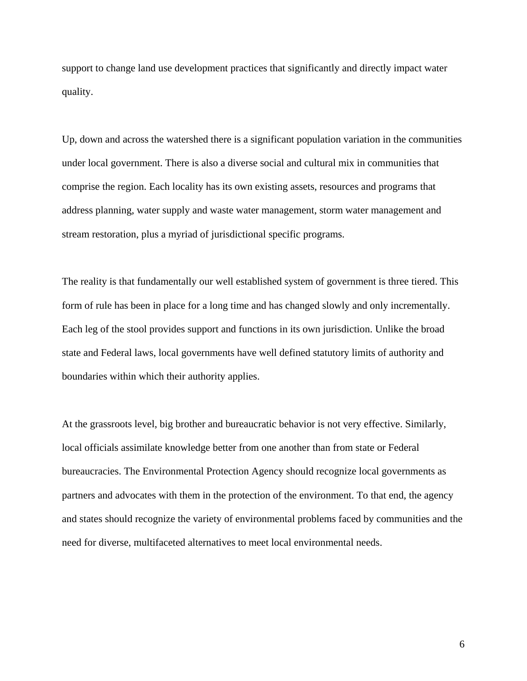support to change land use development practices that significantly and directly impact water quality.

Up, down and across the watershed there is a significant population variation in the communities under local government. There is also a diverse social and cultural mix in communities that comprise the region. Each locality has its own existing assets, resources and programs that address planning, water supply and waste water management, storm water management and stream restoration, plus a myriad of jurisdictional specific programs.

The reality is that fundamentally our well established system of government is three tiered. This form of rule has been in place for a long time and has changed slowly and only incrementally. Each leg of the stool provides support and functions in its own jurisdiction. Unlike the broad state and Federal laws, local governments have well defined statutory limits of authority and boundaries within which their authority applies.

At the grassroots level, big brother and bureaucratic behavior is not very effective. Similarly, local officials assimilate knowledge better from one another than from state or Federal bureaucracies. The Environmental Protection Agency should recognize local governments as partners and advocates with them in the protection of the environment. To that end, the agency and states should recognize the variety of environmental problems faced by communities and the need for diverse, multifaceted alternatives to meet local environmental needs.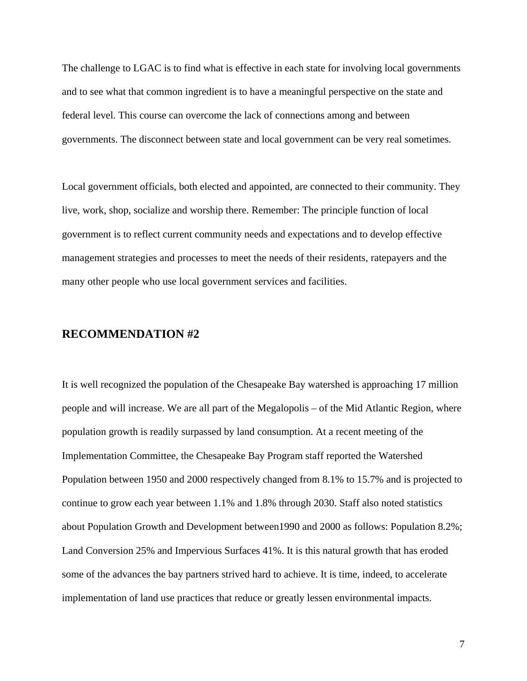The challenge to LGAC is to find what is effective in each state for involving local governments and to see what that common ingredient is to have a meaningful perspective on the state and federal level. This course can overcome the lack of connections among and between governments. The disconnect between state and local government can be very real sometimes.

Local government officials, both elected and appointed, are connected to their community. They live, work, shop, socialize and worship there. Remember: The principle function of local government is to reflect current community needs and expectations and to develop effective management strategies and processes to meet the needs of their residents, ratepayers and the many other people who use local government services and facilities.

## **RECOMMENDATION #2**

It is well recognized the population of the Chesapeake Bay watershed is approaching 17 million people and will increase. We are all part of the Megalopolis – of the Mid Atlantic Region, where population growth is readily surpassed by land consumption. At a recent meeting of the Implementation Committee, the Chesapeake Bay Program staff reported the Watershed Population between 1950 and 2000 respectively changed from 8.1% to 15.7% and is projected to continue to grow each year between 1.1% and 1.8% through 2030. Staff also noted statistics about Population Growth and Development between1990 and 2000 as follows: Population 8.2%; Land Conversion 25% and Impervious Surfaces 41%. It is this natural growth that has eroded some of the advances the bay partners strived hard to achieve. It is time, indeed, to accelerate implementation of land use practices that reduce or greatly lessen environmental impacts.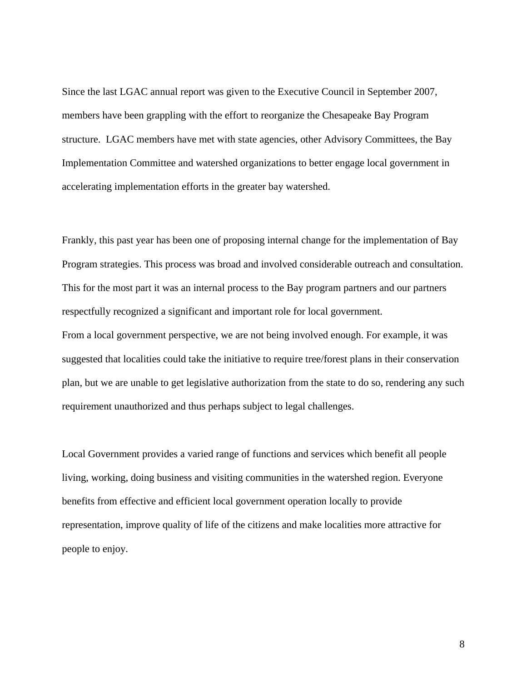Since the last LGAC annual report was given to the Executive Council in September 2007, members have been grappling with the effort to reorganize the Chesapeake Bay Program structure. LGAC members have met with state agencies, other Advisory Committees, the Bay Implementation Committee and watershed organizations to better engage local government in accelerating implementation efforts in the greater bay watershed.

Frankly, this past year has been one of proposing internal change for the implementation of Bay Program strategies. This process was broad and involved considerable outreach and consultation. This for the most part it was an internal process to the Bay program partners and our partners respectfully recognized a significant and important role for local government. From a local government perspective, we are not being involved enough. For example, it was suggested that localities could take the initiative to require tree/forest plans in their conservation plan, but we are unable to get legislative authorization from the state to do so, rendering any such requirement unauthorized and thus perhaps subject to legal challenges.

Local Government provides a varied range of functions and services which benefit all people living, working, doing business and visiting communities in the watershed region. Everyone benefits from effective and efficient local government operation locally to provide representation, improve quality of life of the citizens and make localities more attractive for people to enjoy.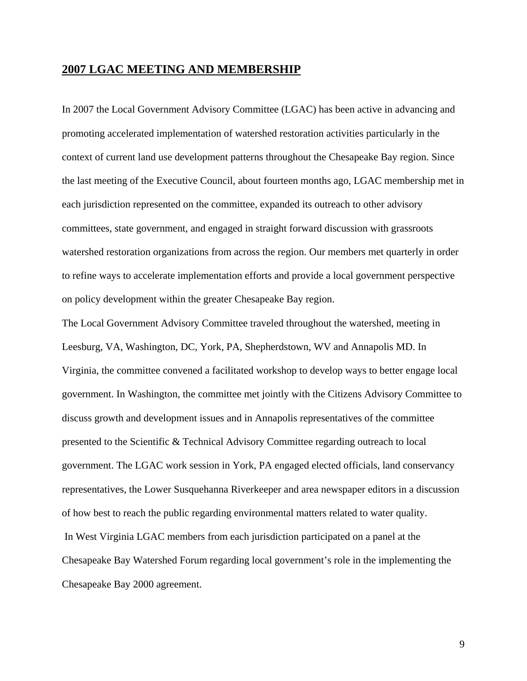#### **2007 LGAC MEETING AND MEMBERSHIP**

In 2007 the Local Government Advisory Committee (LGAC) has been active in advancing and promoting accelerated implementation of watershed restoration activities particularly in the context of current land use development patterns throughout the Chesapeake Bay region. Since the last meeting of the Executive Council, about fourteen months ago, LGAC membership met in each jurisdiction represented on the committee, expanded its outreach to other advisory committees, state government, and engaged in straight forward discussion with grassroots watershed restoration organizations from across the region. Our members met quarterly in order to refine ways to accelerate implementation efforts and provide a local government perspective on policy development within the greater Chesapeake Bay region.

The Local Government Advisory Committee traveled throughout the watershed, meeting in Leesburg, VA, Washington, DC, York, PA, Shepherdstown, WV and Annapolis MD. In Virginia, the committee convened a facilitated workshop to develop ways to better engage local government. In Washington, the committee met jointly with the Citizens Advisory Committee to discuss growth and development issues and in Annapolis representatives of the committee presented to the Scientific & Technical Advisory Committee regarding outreach to local government. The LGAC work session in York, PA engaged elected officials, land conservancy representatives, the Lower Susquehanna Riverkeeper and area newspaper editors in a discussion of how best to reach the public regarding environmental matters related to water quality. In West Virginia LGAC members from each jurisdiction participated on a panel at the Chesapeake Bay Watershed Forum regarding local government's role in the implementing the Chesapeake Bay 2000 agreement.